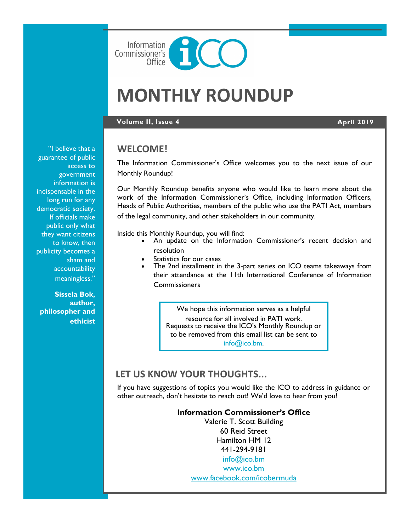

# **MONTHLY ROUNDUP**

#### **Volume II, Issue 4 April 2019**

## **WELCOME!**

The Information Commissioner's Office welcomes you to the next issue of our Monthly Roundup!

Our Monthly Roundup benefits anyone who would like to learn more about the work of the Information Commissioner's Office, including Information Officers, Heads of Public Authorities, members of the public who use the PATI Act, members of the legal community, and other stakeholders in our community.

Inside this Monthly Roundup, you will find:

- An update on the Information Commissioner's recent decision and resolution
- Statistics for our cases
- The 2nd installment in the 3-part series on ICO teams takeaways from their attendance at the 11th International Conference of Information **Commissioners**

We hope this information serves as a helpful resource for all involved in PATI work. Requests to receive the ICO's Monthly Roundup or to be removed from this email list can be sent to [info@ico.bm.](mailto:info@ico.bm)

# **LET US KNOW YOUR THOUGHTS...**

If you have suggestions of topics you would like the ICO to address in guidance or other outreach, don't hesitate to reach out! We'd love to hear from you!

#### **Information Commissioner's Office**

Valerie T. Scott Building 60 Reid Street Hamilton HM 12 441-294-9181 [info@ico.bm](mailto:info@ico.bm) [www.ico.bm](http://www.ico.bm)

[www.facebook.com/icobermuda](https://www.facebook.com/icobermuda/)

"I believe that a guarantee of public access to government information is indispensable in the long run for any democratic society. If officials make public only what they want citizens to know, then publicity becomes a sham and accountability meaningless."

**Sissela Bok, author, philosopher and ethicist**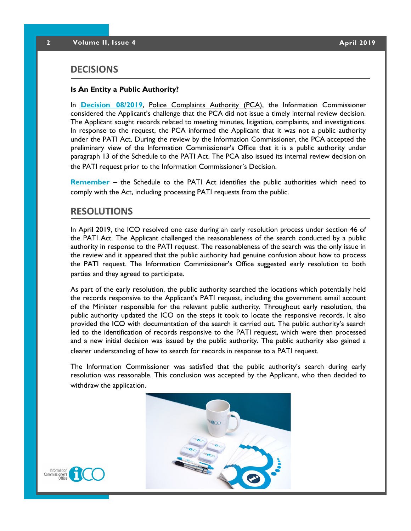## **DECISIONS**

#### **Is An Entity a Public Authority?**

In **[Decision 08/2019](https://docs.wixstatic.com/ugd/5803dc_ed780f0414324ecfbb75e1cb0d0a9df1.pdf)**, Police Complaints Authority (PCA), the Information Commissioner considered the Applicant's challenge that the PCA did not issue a timely internal review decision. The Applicant sought records related to meeting minutes, litigation, complaints, and investigations. In response to the request, the PCA informed the Applicant that it was not a public authority under the PATI Act. During the review by the Information Commissioner, the PCA accepted the preliminary view of the Information Commissioner's Office that it is a public authority under paragraph 13 of the Schedule to the PATI Act. The PCA also issued its internal review decision on the PATI request prior to the Information Commissioner's Decision.

**Remember** – the Schedule to the PATI Act identifies the public authorities which need to comply with the Act, including processing PATI requests from the public.

## **RESOLUTIONS**

In April 2019, the ICO resolved one case during an early resolution process under section 46 of the PATI Act. The Applicant challenged the reasonableness of the search conducted by a public authority in response to the PATI request. The reasonableness of the search was the only issue in the review and it appeared that the public authority had genuine confusion about how to process the PATI request. The Information Commissioner's Office suggested early resolution to both parties and they agreed to participate.

As part of the early resolution, the public authority searched the locations which potentially held the records responsive to the Applicant's PATI request, including the government email account of the Minister responsible for the relevant public authority. Throughout early resolution, the public authority updated the ICO on the steps it took to locate the responsive records. It also provided the ICO with documentation of the search it carried out. The public authority's search led to the identification of records responsive to the PATI request, which were then processed and a new initial decision was issued by the public authority. The public authority also gained a clearer understanding of how to search for records in response to a PATI request.

The Information Commissioner was satisfied that the public authority's search during early resolution was reasonable. This conclusion was accepted by the Applicant, who then decided to withdraw the application.

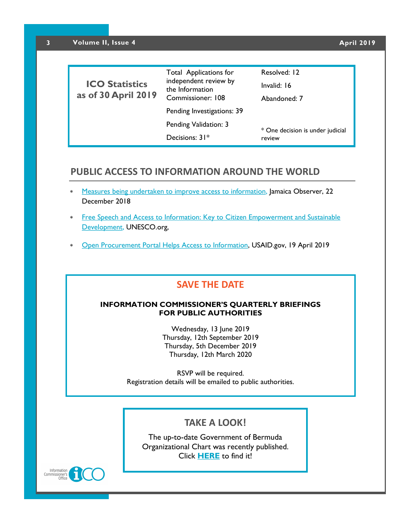| <b>ICO Statistics</b><br>as of 30 April 2019 | <b>Total Applications for</b><br>independent review by<br>the Information<br>Commissioner: 108 | Resolved: 12<br>Invalid: 16<br>Abandoned: 7 |
|----------------------------------------------|------------------------------------------------------------------------------------------------|---------------------------------------------|
|                                              | Pending Investigations: 39                                                                     |                                             |
|                                              | Pending Validation: 3                                                                          | * One decision is under judicial<br>review  |
|                                              | Decisions: $31*$                                                                               |                                             |

## **PUBLIC ACCESS TO INFORMATION AROUND THE WORLD**

- [Measures being undertaken to improve access to information,](http://www.jamaicaobserver.com/latestnews/_Measures_being_undertaken_to_improve_access_to_information?profile=1470) Jamaica Observer, 22 December 2018
- \* Free Speech and Access to Information: Key to Citizen Empowerment and Sustainable [Development,](https://en.unesco.org/Free-Speech-Access-to-Information-Gwen-Lister) UNESCO.org,
- [Open Procurement Portal Helps Access to Information,](https://www.usaid.gov/kosovo/news-information/news/open-procurement-portal-helps-access-information) USAID.gov, 19 April 2019

# **SAVE THE DATE**

### **INFORMATION COMMISSIONER'S QUARTERLY BRIEFINGS FOR PUBLIC AUTHORITIES**

Wednesday, 13 June 2019 Thursday, 12th September 2019 Thursday, 5th December 2019 Thursday, 12th March 2020

RSVP will be required. Registration details will be emailed to public authorities.

# **TAKE A LOOK!**

The up-to-date Government of Bermuda Organizational Chart was recently published. Click **[HERE](https://www.gov.bm/sites/default/files/ORG_CHART_0319.pdf)** to find it!